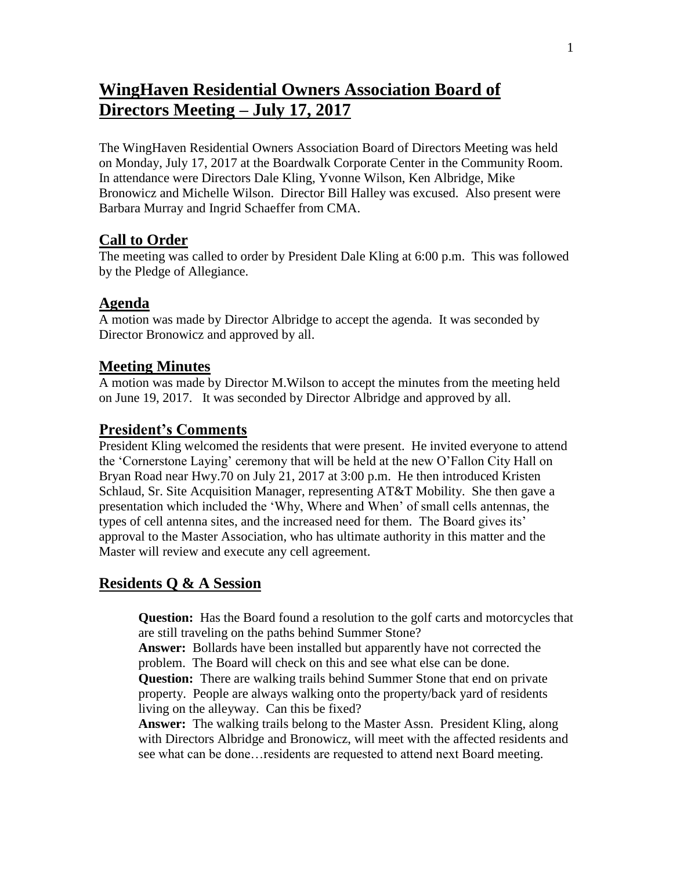# **WingHaven Residential Owners Association Board of Directors Meeting – July 17, 2017**

The WingHaven Residential Owners Association Board of Directors Meeting was held on Monday, July 17, 2017 at the Boardwalk Corporate Center in the Community Room. In attendance were Directors Dale Kling, Yvonne Wilson, Ken Albridge, Mike Bronowicz and Michelle Wilson. Director Bill Halley was excused. Also present were Barbara Murray and Ingrid Schaeffer from CMA.

#### **Call to Order**

The meeting was called to order by President Dale Kling at 6:00 p.m. This was followed by the Pledge of Allegiance.

#### **Agenda**

A motion was made by Director Albridge to accept the agenda. It was seconded by Director Bronowicz and approved by all.

#### **Meeting Minutes**

A motion was made by Director M.Wilson to accept the minutes from the meeting held on June 19, 2017. It was seconded by Director Albridge and approved by all.

#### **President's Comments**

President Kling welcomed the residents that were present. He invited everyone to attend the 'Cornerstone Laying' ceremony that will be held at the new O'Fallon City Hall on Bryan Road near Hwy.70 on July 21, 2017 at 3:00 p.m. He then introduced Kristen Schlaud, Sr. Site Acquisition Manager, representing AT&T Mobility. She then gave a presentation which included the 'Why, Where and When' of small cells antennas, the types of cell antenna sites, and the increased need for them. The Board gives its' approval to the Master Association, who has ultimate authority in this matter and the Master will review and execute any cell agreement.

## **Residents Q & A Session**

**Question:** Has the Board found a resolution to the golf carts and motorcycles that are still traveling on the paths behind Summer Stone?

**Answer:** Bollards have been installed but apparently have not corrected the problem. The Board will check on this and see what else can be done.

**Question:** There are walking trails behind Summer Stone that end on private property. People are always walking onto the property/back yard of residents living on the alleyway. Can this be fixed?

**Answer:** The walking trails belong to the Master Assn. President Kling, along with Directors Albridge and Bronowicz, will meet with the affected residents and see what can be done…residents are requested to attend next Board meeting.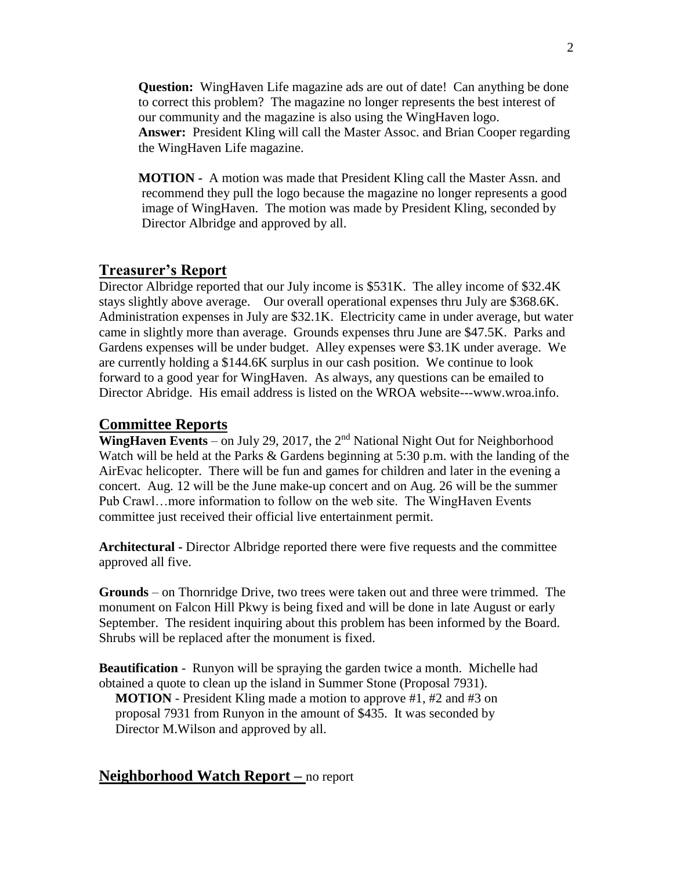**Question:** WingHaven Life magazine ads are out of date! Can anything be done to correct this problem? The magazine no longer represents the best interest of our community and the magazine is also using the WingHaven logo. **Answer:** President Kling will call the Master Assoc. and Brian Cooper regarding the WingHaven Life magazine.

**MOTION -** A motion was made that President Kling call the Master Assn. and recommend they pull the logo because the magazine no longer represents a good image of WingHaven. The motion was made by President Kling, seconded by Director Albridge and approved by all.

#### **Treasurer's Report**

Director Albridge reported that our July income is \$531K. The alley income of \$32.4K stays slightly above average. Our overall operational expenses thru July are \$368.6K. Administration expenses in July are \$32.1K. Electricity came in under average, but water came in slightly more than average. Grounds expenses thru June are \$47.5K. Parks and Gardens expenses will be under budget. Alley expenses were \$3.1K under average. We are currently holding a \$144.6K surplus in our cash position. We continue to look forward to a good year for WingHaven. As always, any questions can be emailed to Director Abridge. His email address is listed on the WROA website---www.wroa.info.

#### **Committee Reports**

**WingHaven Events** – on July 29, 2017, the  $2<sup>nd</sup>$  National Night Out for Neighborhood Watch will be held at the Parks & Gardens beginning at 5:30 p.m. with the landing of the AirEvac helicopter. There will be fun and games for children and later in the evening a concert. Aug. 12 will be the June make-up concert and on Aug. 26 will be the summer Pub Crawl…more information to follow on the web site. The WingHaven Events committee just received their official live entertainment permit.

**Architectural -** Director Albridge reported there were five requests and the committee approved all five.

**Grounds** – on Thornridge Drive, two trees were taken out and three were trimmed. The monument on Falcon Hill Pkwy is being fixed and will be done in late August or early September. The resident inquiring about this problem has been informed by the Board. Shrubs will be replaced after the monument is fixed.

**Beautification** - Runyon will be spraying the garden twice a month. Michelle had obtained a quote to clean up the island in Summer Stone (Proposal 7931). **MOTION** - President Kling made a motion to approve #1, #2 and #3 on proposal 7931 from Runyon in the amount of \$435. It was seconded by Director M.Wilson and approved by all.

#### **Neighborhood Watch Report –** no report